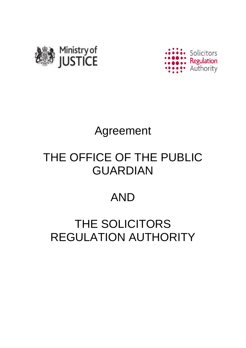



# Agreement

# THE OFFICE OF THE PUBLIC GUARDIAN

### AND

# THE SOLICITORS REGULATION AUTHORITY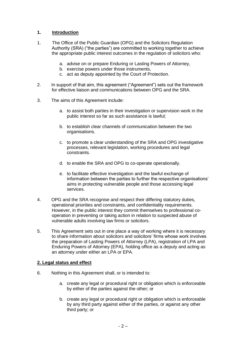#### **1. Introduction**

- 1. The Office of the Public Guardian (OPG) and the Solicitors Regulation Authority (SRA) ("the parties") are committed to working together to achieve the appropriate public interest outcomes in the regulation of solicitors who:
	- a. advise on or prepare Enduring or Lasting Powers of Attorney,
	- b. exercise powers under those instruments,
	- c. act as deputy appointed by the Court of Protection.
- 2. In support of that aim, this agreement ("Agreement") sets out the framework for effective liaison and communications between OPG and the SRA.
- 3. The aims of this Agreement include:
	- a. to assist both parties in their investigation or supervision work in the public interest so far as such assistance is lawful;
	- b. to establish clear channels of communication between the two organisations.
	- c. to promote a clear understanding of the SRA and OPG investigative processes, relevant legislation, working procedures and legal constraints.
	- d. to enable the SRA and OPG to co-operate operationally.
	- e. to facilitate effective investigation and the lawful exchange of information between the parties to further the respective organisations' aims in protecting vulnerable people and those accessing legal services.
- 4. OPG and the SRA recognise and respect their differing statutory duties, operational priorities and constraints, and confidentiality requirements. However, in the public interest they commit themselves to professional cooperation in preventing or taking action in relation to suspected abuse of vulnerable adults involving law firms or solicitors.
- 5. This Agreement sets out in one place a way of working where it is necessary to share information about solicitors and solicitors' firms whose work involves the preparation of Lasting Powers of Attorney (LPA), registration of LPA and Enduring Powers of Attorney (EPA), holding office as a deputy and acting as an attorney under either an LPA or EPA.

#### **2. Legal status and effect**

- 6. Nothing in this Agreement shall, or is intended to:
	- a. create any legal or procedural right or obligation which is enforceable by either of the parties against the other; or
	- b. create any legal or procedural right or obligation which is enforceable by any third party against either of the parties, or against any other third party; or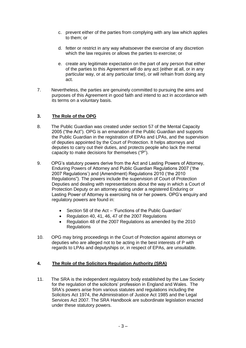- c. prevent either of the parties from complying with any law which applies to them; or
- d. fetter or restrict in any way whatsoever the exercise of any discretion which the law requires or allows the parties to exercise; or
- e. create any legitimate expectation on the part of any person that either of the parties to this Agreement will do any act (either at all, or in any particular way, or at any particular time), or will refrain from doing any act.
- 7. Nevertheless, the parties are genuinely committed to pursuing the aims and purposes of this Agreement in good faith and intend to act in accordance with its terms on a voluntary basis.

#### **3. The Role of the OPG**

- 8. The Public Guardian was created under section 57 of the Mental Capacity 2005 ("the Act"). OPG is an emanation of the Public Guardian and supports the Public Guardian in the registration of EPAs and LPAs, and the supervision of deputies appointed by the Court of Protection. It helps attorneys and deputies to carry out their duties, and protects people who lack the mental capacity to make decisions for themselves ("P").
- 9. OPG's statutory powers derive from the Act and Lasting Powers of Attorney, Enduring Powers of Attorney and Public Guardian Regulations 2007 ('the 2007 Regulations') and (Amendment) Regulations 2010 ('the 2010 Regulations"). The powers include the supervision of Court of Protection Deputies and dealing with representations about the way in which a Court of Protection Deputy or an attorney acting under a registered Enduring or Lasting Power of Attorney is exercising his or her powers. OPG's enquiry and regulatory powers are found in:
	- Section 58 of the Act 'Functions of the Public Guardian'
	- Regulation 40, 41, 46, 47 of the 2007 Regulations
	- Regulation 48 of the 2007 Regulations as amended by the 2010 Regulations
- 10. OPG may bring proceedings in the Court of Protection against attorneys or deputies who are alleged not to be acting in the best interests of P with regards to LPAs and deputyships or, in respect of EPAs, are unsuitable.

#### **4. The Role of the Solicitors Regulation Authority (SRA)**

11. The SRA is the independent regulatory body established by the Law Society for the regulation of the solicitors' profession in England and Wales. The SRA's powers arise from various statutes and regulations including the Solicitors Act 1974, the Administration of Justice Act 1985 and the Legal Services Act 2007. The SRA Handbook are subordinate legislation enacted under these statutory powers.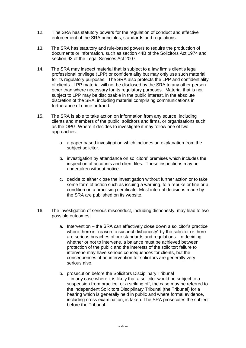- 12. The SRA has statutory powers for the regulation of conduct and effective enforcement of the SRA principles, standards and regulations.
- 13. The SRA has statutory and rule-based powers to require the production of documents or information, such as section 44B of the Solicitors Act 1974 and section 93 of the Legal Services Act 2007.
- 14. The SRA may inspect material that is subject to a law firm's client's legal professional privilege (LPP) or confidentiality but may only use such material for its regulatory purposes. The SRA also protects the LPP and confidentiality of clients. LPP material will not be disclosed by the SRA to any other person other than where necessary for its regulatory purposes. Material that is not subject to LPP may be disclosable in the public interest, in the absolute discretion of the SRA, including material comprising communications in furtherance of crime or fraud.
- 15. The SRA is able to take action on information from any source, including clients and members of the public, solicitors and firms, or organisations such as the OPG. Where it decides to investigate it may follow one of two approaches:
	- a. a paper based investigation which includes an explanation from the subject solicitor.
	- b. investigation by attendance on solicitors' premises which includes the inspection of accounts and client files. These inspections may be undertaken without notice.
	- c. decide to either close the investigation without further action or to take some form of action such as issuing a warning, to a rebuke or fine or a condition on a practising certificate. Most internal decisions made by the SRA are published on its website.
- 16. The investigation of serious misconduct, including dishonesty, may lead to two possible outcomes:
	- a. Intervention the SRA can effectively close down a solicitor's practice where there is "reason to suspect dishonesty" by the solicitor or there are serious breaches of our standards and regulations. In deciding whether or not to intervene, a balance must be achieved between protection of the public and the interests of the solicitor: failure to intervene may have serious consequences for clients, but the consequences of an intervention for solicitors are generally very serious also.
	- b. prosecution before the Solicitors Disciplinary Tribunal – in any case where it is likely that a solicitor would be subject to a suspension from practice, or a striking off, the case may be referred to the independent Solicitors Disciplinary Tribunal (the Tribunal) for a hearing which is generally held in public and where formal evidence, including cross examination, is taken. The SRA prosecutes the subject before the Tribunal.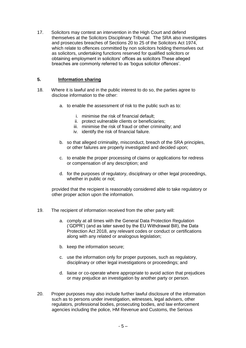17. Solicitors may contest an intervention in the High Court and defend themselves at the Solicitors Disciplinary Tribunal. The SRA also investigates and prosecutes breaches of Sections 20 to 25 of the Solicitors Act 1974, which relate to offences committed by non solicitors holding themselves out as solicitors, undertaking functions reserved for qualified solicitors or obtaining employment in solicitors' offices as solicitors These alleged breaches are commonly referred to as 'bogus solicitor offences'.

#### **5. Information sharing**

- 18. Where it is lawful and in the public interest to do so, the parties agree to disclose information to the other:
	- a. to enable the assessment of risk to the public such as to:
		- i. minimise the risk of financial default;
		- ii. protect vulnerable clients or beneficiaries;
		- iii. minimise the risk of fraud or other criminality; and
		- iv. identify the risk of financial failure.
	- b. so that alleged criminality, misconduct, breach of the SRA principles, or other failures are properly investigated and decided upon;
	- c. to enable the proper processing of claims or applications for redress or compensation of any description; and
	- d. for the purposes of regulatory, disciplinary or other legal proceedings, whether in public or not;

provided that the recipient is reasonably considered able to take regulatory or other proper action upon the information.

- 19. The recipient of information received from the other party will:
	- a. comply at all times with the General Data Protection Regulation ('GDPR') (and as later saved by the EU Withdrawal Bill), the Data Protection Act 2018, any relevant codes or conduct or certifications along with any related or analogous legislation;
	- b. keep the information secure;
	- c. use the information only for proper purposes, such as regulatory, disciplinary or other legal investigations or proceedings; and
	- d. liaise or co-operate where appropriate to avoid action that prejudices or may prejudice an investigation by another party or person.
- 20. Proper purposes may also include further lawful disclosure of the information such as to persons under investigation, witnesses, legal advisers, other regulators, professional bodies, prosecuting bodies, and law enforcement agencies including the police, HM Revenue and Customs, the Serious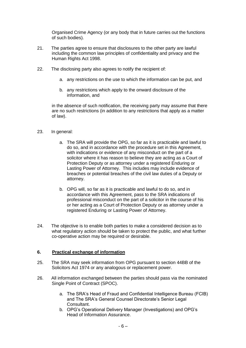Organised Crime Agency (or any body that in future carries out the functions of such bodies).

- 21. The parties agree to ensure that disclosures to the other party are lawful including the common law principles of confidentiality and privacy and the Human Rights Act 1998.
- 22. The disclosing party also agrees to notify the recipient of:
	- a. any restrictions on the use to which the information can be put, and
	- b. any restrictions which apply to the onward disclosure of the information, and

in the absence of such notification, the receiving party may assume that there are no such restrictions (in addition to any restrictions that apply as a matter of law).

#### 23. In general:

- a. The SRA will provide the OPG, so far as it is practicable and lawful to do so, and in accordance with the procedure set in this Agreement, with indications or evidence of any misconduct on the part of a solicitor where it has reason to believe they are acting as a Court of Protection Deputy or as attorney under a registered Enduring or Lasting Power of Attorney. This includes may include evidence of breaches or potential breaches of the civil law duties of a Deputy or attorney.
- b. OPG will, so far as it is practicable and lawful to do so, and in accordance with this Agreement, pass to the SRA indications of professional misconduct on the part of a solicitor in the course of his or her acting as a Court of Protection Deputy or as attorney under a registered Enduring or Lasting Power of Attorney.
- 24. The objective is to enable both parties to make a considered decision as to what regulatory action should be taken to protect the public, and what further co-operative action may be required or desirable.

#### **6. Practical exchange of information**

- 25. The SRA may seek information from OPG pursuant to section 44BB of the Solicitors Act 1974 or any analogous or replacement power.
- 26. All information exchanged between the parties should pass via the nominated Single Point of Contract (SPOC).
	- a. The SRA's Head of Fraud and Confidential Intelligence Bureau (FCIB) and The SRA's General Counsel Directorate's Senior Legal Consultant.
	- b. OPG's Operational Delivery Manager (Investigations) and OPG's Head of Information Assurance.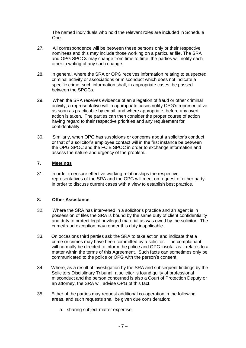The named individuals who hold the relevant roles are included in Schedule One.

- 27. All correspondence will be between these persons only or their respective nominees and this may include those working on a particular file. The SRA and OPG SPOCs may change from time to time; the parties will notify each other in writing of any such change.
- 28. In general, where the SRA or OPG receives information relating to suspected criminal activity or associations or misconduct which does not indicate a specific crime, such information shall, in appropriate cases, be passed between the SPOCs**.**
- 29. When the SRA receives evidence of an allegation of fraud or other criminal activity, a representative will in appropriate cases notify OPG's representative as soon as practicable by email, and where appropriate, before any overt action is taken. The parties can then consider the proper course of action having regard to their respective priorities and any requirement for confidentiality.
- 30. Similarly, when OPG has suspicions or concerns about a solicitor's conduct or that of a solicitor's employee contact will in the first instance be between the OPG SPOC and the FCIB SPOC in order to exchange information and assess the nature and urgency of the problem**.**

#### **7. Meetings**

31. In order to ensure effective working relationships the respective representatives of the SRA and the OPG will meet on request of either party in order to discuss current cases with a view to establish best practice.

#### **8. Other Assistance**

- 32. Where the SRA has intervened in a solicitor's practice and an agent is in possession of files the SRA is bound by the same duty of client confidentiality and duty to protect legal privileged material as was owed by the solicitor. The crime/fraud exception may render this duty inapplicable.
- 33. On occasions third parties ask the SRA to take action and indicate that a crime or crimes may have been committed by a solicitor. The complainant will normally be directed to inform the police and OPG insofar as it relates to a matter within the terms of this Agreement. Such facts can sometimes only be communicated to the police or OPG with the person's consent.
- 34. Where, as a result of investigation by the SRA and subsequent findings by the Solicitors Disciplinary Tribunal, a solicitor is found guilty of professional misconduct and the person concerned is also a Court of Protection Deputy or an attorney, the SRA will advise OPG of this fact.
- 35. Either of the parties may request additional co-operation in the following areas, and such requests shall be given due consideration:
	- a. sharing subject-matter expertise;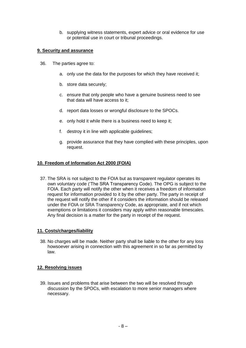b. supplying witness statements, expert advice or oral evidence for use or potential use in court or tribunal proceedings.

#### **9. Security and assurance**

- 36. The parties agree to:
	- a. only use the data for the purposes for which they have received it;
	- b. store data securely;
	- c. ensure that only people who have a genuine business need to see that data will have access to it;
	- d. report data losses or wrongful disclosure to the SPOCs.
	- e. only hold it while there is a business need to keep it;
	- f. destroy it in line with applicable guidelines;
	- g. provide assurance that they have complied with these principles, upon request.

#### **10. Freedom of Information Act 2000 (FOIA)**

37. The SRA is not subject to the FOIA but as transparent regulator operates its own voluntary code ('The SRA Transparency Code). The OPG is subject to the FOIA. Each party will notify the other when it receives a freedom of information request for information provided to it by the other party. The party in receipt of the request will notify the other if it considers the information should be released under the FOIA or SRA Transparency Code, as appropriate, and if not which exemptions or limitations it considers may apply within reasonable timescales. Any final decision is a matter for the party in receipt of the request.

#### **11. Costs/charges/liability**

38. No charges will be made. Neither party shall be liable to the other for any loss howsoever arising in connection with this agreement in so far as permitted by law.

#### **12. Resolving issues**

39. Issues and problems that arise between the two will be resolved through discussion by the SPOCs, with escalation to more senior managers where necessary.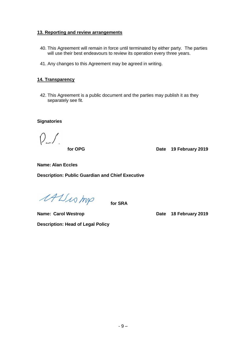#### **13. Reporting and review arrangements**

- 40. This Agreement will remain in force until terminated by either party. The parties will use their best endeavours to review its operation every three years.
- 41. Any changes to this Agreement may be agreed in writing.

#### **14. Transparency**

42. This Agreement is a public document and the parties may publish it as they separately see fit.

**Signatories**

 $\int$ 

 **for OPG Date 19 February 2019**

**Name: Alan Eccles**

**Description: Public Guardian and Chief Executive**

MUN mp

 **for SRA** 

**Name: Carol Westrop <b>Date Date 18 February 2019 Description: Head of Legal Policy**